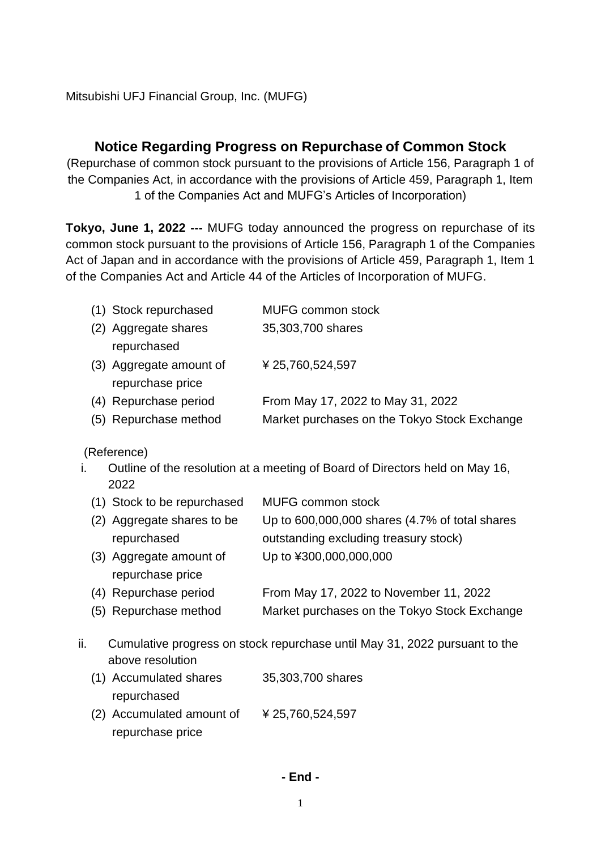Mitsubishi UFJ Financial Group, Inc. (MUFG)

## **Notice Regarding Progress on Repurchase of Common Stock**

(Repurchase of common stock pursuant to the provisions of Article 156, Paragraph 1 of the Companies Act, in accordance with the provisions of Article 459, Paragraph 1, Item 1 of the Companies Act and MUFG's Articles of Incorporation)

**Tokyo, June 1, 2022 ---** MUFG today announced the progress on repurchase of its common stock pursuant to the provisions of Article 156, Paragraph 1 of the Companies Act of Japan and in accordance with the provisions of Article 459, Paragraph 1, Item 1 of the Companies Act and Article 44 of the Articles of Incorporation of MUFG.

| (1) Stock repurchased   | <b>MUFG common stock</b>                     |
|-------------------------|----------------------------------------------|
| (2) Aggregate shares    | 35,303,700 shares                            |
| repurchased             |                                              |
| (3) Aggregate amount of | ¥ 25,760,524,597                             |
| repurchase price        |                                              |
| (4) Repurchase period   | From May 17, 2022 to May 31, 2022            |
| (5) Repurchase method   | Market purchases on the Tokyo Stock Exchange |

(Reference)

i. Outline of the resolution at a meeting of Board of Directors held on May 16, 2022

| (1) Stock to be repurchased | <b>MUFG common stock</b>                       |
|-----------------------------|------------------------------------------------|
| (2) Aggregate shares to be  | Up to 600,000,000 shares (4.7% of total shares |
| repurchased                 | outstanding excluding treasury stock)          |
| (3) Aggregate amount of     | Up to ¥300,000,000,000                         |
| repurchase price            |                                                |
| (4) Repurchase period       | From May 17, 2022 to November 11, 2022         |
| (5) Repurchase method       | Market purchases on the Tokyo Stock Exchange   |
|                             |                                                |

- ii. Cumulative progress on stock repurchase until May 31, 2022 pursuant to the above resolution
	- (1) Accumulated shares repurchased 35,303,700 shares (2) Accumulated amount of repurchase price ¥ 25,760,524,597

## **- End -**